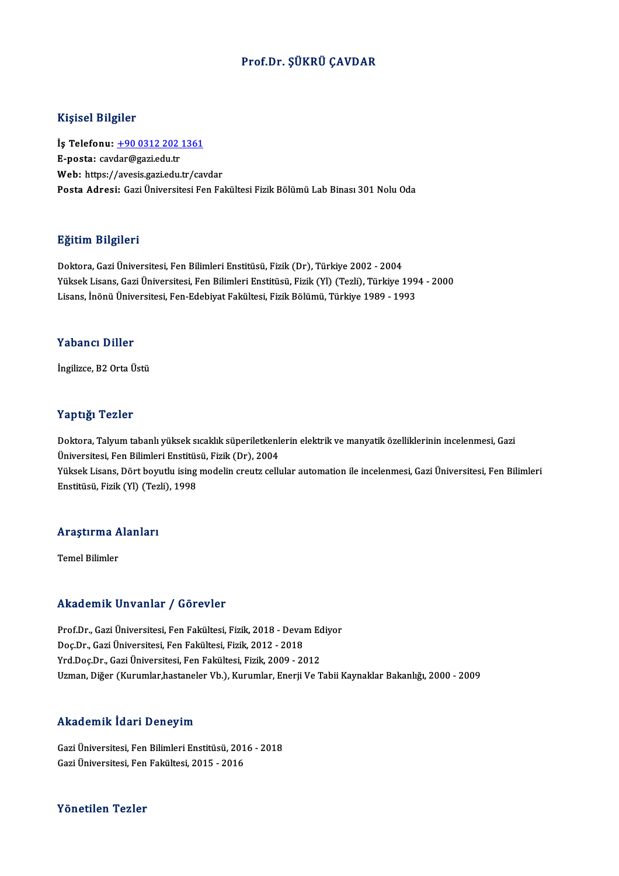## Prof.Dr. ŞÜKRÜ ÇAVDAR

### Kişisel Bilgiler

Kişisel Bilgiler<br>İş Telefonu: <u>+90 0312 202 1361</u><br>E nasta: səydər@səri odu tr 11191001 Dingitor<br>İş Telefonu: <u>+90 0312 202</u><br>E-posta: cav[dar@gazi.edu.tr](tel:+90 0312 202 1361) E-posta: cavdar@gazi.edu.tr<br>Web: https://avesis.gazi.edu.tr/cavdar Posta Adresi: Gazi Üniversitesi Fen Fakültesi Fizik Bölümü Lab Binası 301 Nolu Oda

#### Eğitim Bilgileri

Doktora, Gazi Üniversitesi, Fen Bilimleri Enstitüsü, Fizik (Dr), Türkiye 2002 - 2004 25.<br>1998- Doktora, Gazi Üniversitesi, Fen Bilimleri Enstitüsü, Fizik (Dr), Türkiye 2002 - 2004<br>Yüksek Lisans, Gazi Üniversitesi, Fen Bilimleri Enstitüsü, Fizik (Yl) (Tezli), Türkiye 1994 - 2000<br>Lisans, İnönü Üniversitesi, Doktora, Gazi Üniversitesi, Fen Bilimleri Enstitüsü, Fizik (Dr), Türkiye 2002 - 2004<br>Yüksek Lisans, Gazi Üniversitesi, Fen Bilimleri Enstitüsü, Fizik (Yl) (Tezli), Türkiye 199<br>Lisans, İnönü Üniversitesi, Fen-Edebiyat Fakül Lisans, İnönü Üniversitesi, Fen-Edebiyat Fakültesi, Fizik Bölümü, Türkiye 1989 - 1993<br>Yabancı Diller

İngilizce, B2 Orta Üstü

### Yaptığı Tezler

Yaptığı Tezler<br>Doktora, Talyum tabanlı yüksek sıcaklık süperiletkenlerin elektrik ve manyatik özelliklerinin incelenmesi, Gazi<br>Ühiversitesi, Fan Bilimleri Enstitüsü, Fizik (Dr.), 2004 1 up 1521<br>Doktora, Talyum tabanlı yüksek sıcaklık süperiletkenl<br>Üniversitesi, Fen Bilimleri Enstitüsü, Fizik (Dr), 2004<br>Vüksek Lisans, Dört bevutlu ising modelin sreutr sellı Doktora, Talyum tabanlı yüksek sıcaklık süperiletkenlerin elektrik ve manyatik özelliklerinin incelenmesi, Gazi<br>Üniversitesi, Fen Bilimleri Enstitüsü, Fizik (Dr), 2004<br>Yüksek Lisans, Dört boyutlu ising modelin creutz cellu Üniversitesi, Fen Bilimleri Enstitüs<br>Yüksek Lisans, Dört boyutlu ising<br>Enstitüsü, Fizik (Yl) (Tezli), 1998

# <sub>Ensulusu, Fızık (11) (1ez<br>Araştırma Alanları</sub> <mark>Araştırma A</mark><br>Temel Bilimler

# Akademik Unvanlar / Görevler

Akademik Unvanlar / Görevler<br>Prof.Dr., Gazi Üniversitesi, Fen Fakültesi, Fizik, 2018 - Devam Ediyor<br>Des Dr., Gazi Üniversitesi, Een Fakültesi, Fizik, 2012, 2019 Doç.Dr.,GaziÜniversitesi,FenFakültesi,Fizik,2012 -2018 Prof.Dr., Gazi Üniversitesi, Fen Fakültesi, Fizik, 2018 - Devam Ec<br>Doç.Dr., Gazi Üniversitesi, Fen Fakültesi, Fizik, 2012 - 2018<br>Yrd.Doç.Dr., Gazi Üniversitesi, Fen Fakültesi, Fizik, 2009 - 2012<br>Uzman, Diğer (Kurumlar bast Doç.Dr., Gazi Üniversitesi, Fen Fakültesi, Fizik, 2012 - 2018<br>Yrd.Doç.Dr., Gazi Üniversitesi, Fen Fakültesi, Fizik, 2009 - 2012<br>Uzman, Diğer (Kurumlar,hastaneler Vb.), Kurumlar, Enerji Ve Tabii Kaynaklar Bakanlığı, 2000 -

## Akademik İdari Deneyim

GaziÜniversitesi,FenBilimleriEnstitüsü,2016 -2018 GaziÜniversitesi,FenFakültesi,2015 -2016

#### Yönetilen Tezler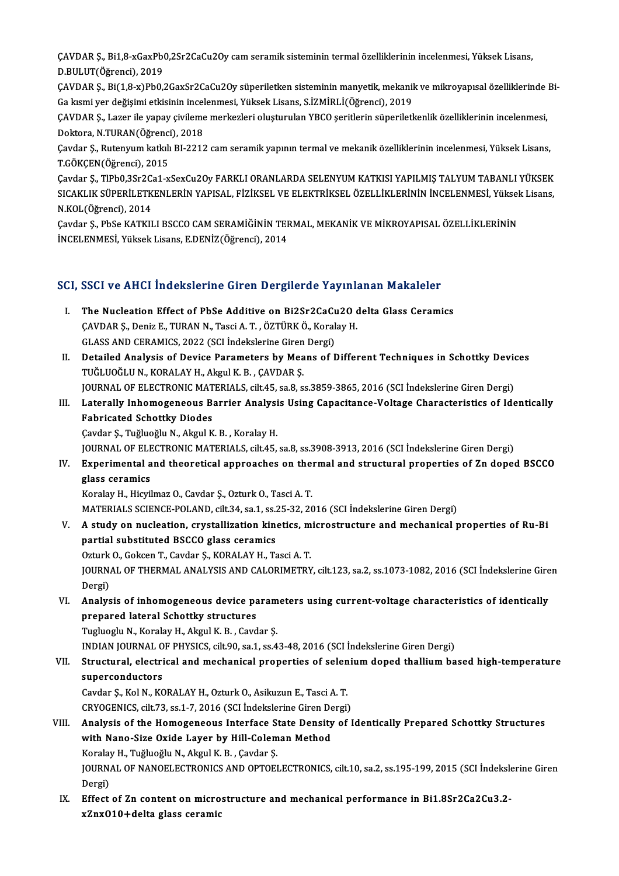ÇAVDAR Ş., Bi1,8-xGaxPb0,2Sr2CaCu2Oy cam seramik sisteminin termal özelliklerinin incelenmesi, Yüksek Lisans,<br>D.P.ULLIT(Öğrengi), 2019 CAVDAR Ş., Bi1,8-xGaxPb(<br>D.BULUT(Öğrenci), 2019<br>CAVDAR S. Bi(1.8 x)BbQ ÇAVDAR Ş., Bi1,8-xGaxPb0,2Sr2CaCu2Oy cam seramik sisteminin termal özelliklerinin incelenmesi, Yüksek Lisans,<br>D.BULUT(Öğrenci), 2019<br>ÇAVDAR Ş., Bi(1,8-x)Pb0,2GaxSr2CaCu2Oy süperiletken sisteminin manyetik, mekanik ve mikro

D.BULUT(Öğrenci), 2019<br>ÇAVDAR Ş., Bi(1,8-x)Pb0,2GaxSr2CaCu2Oy süperiletken sisteminin manyetik, mekanil<br>Ga kısmi yer değişimi etkisinin incelenmesi, Yüksek Lisans, S.İZMİRLİ(Öğrenci), 2019<br>CAVDAR S. Larar ilə yanay siyiləm

ÇAVDAR Ş., Bi(1,8-x)Pb0,2GaxSr2CaCu2Oy süperiletken sisteminin manyetik, mekanik ve mikroyapısal özelliklerinde Bi-<br>Ga kısmi yer değişimi etkisinin incelenmesi, Yüksek Lisans, S.İZMİRLİ(Öğrenci), 2019<br>ÇAVDAR Ş., Lazer ile Ga kısmi yer değişimi etkisinin incel<br>ÇAVDAR Ş., Lazer ile yapay çivileme<br>Doktora, N.TURAN(Öğrenci), 2018<br>Caydar S., Butanyum katkılı BI 2212 ÇAVDAR Ş., Lazer ile yapay çivileme merkezleri oluşturulan YBCO şeritlerin süperiletkenlik özelliklerinin incelenmesi,<br>Doktora, N.TURAN(Öğrenci), 2018<br>Çavdar Ş., Rutenyum katkılı BI-2212 cam seramik yapının termal ve mekan

Doktora, N.TURAN(Öğrenci<br>Çavdar Ş., Rutenyum katkılı<br>T.GÖKÇEN(Öğrenci), 2015<br>Cavdar S., TIBbQ 2Sr2Ca1.x Çavdar Ş., Rutenyum katkılı BI-2212 cam seramik yapının termal ve mekanik özelliklerinin incelenmesi, Yüksek Lisans,<br>T.GÖKÇEN(Öğrenci), 2015<br>Çavdar Ş., TIPb0,3Sr2Ca1-xSexCu2Oy FARKLI ORANLARDA SELENYUM KATKISI YAPILMIŞ TAL

T.GÖKÇEN(Öğrenci), 2015<br>Çavdar Ş., TlPb0,3Sr2Ca1-xSexCu2Oy FARKLI ORANLARDA SELENYUM KATKISI YAPILMIŞ TALYUM TABANLI YÜKSEK<br>SICAKLIK SÜPERİLETKENLERİN YAPISAL, FİZİKSEL VE ELEKTRİKSEL ÖZELLİKLERİNİN İNCELENMESİ, Yüksek Lis Çavdar Ş., TlPb0,3Sr2C:<br>SICAKLIK SÜPERİLETK<br>N.KOL(Öğrenci), 2014<br>Caydar S., PbSe KATKU SICAKLIK SÜPERİLETKENLERİN YAPISAL, FİZİKSEL VE ELEKTRİKSEL ÖZELLİKLERİNİN İNCELENMESİ, Yüksek Lisans,<br>N.KOL(Öğrenci), 2014<br>Çavdar Ş., PbSe KATKILI BSCCO CAM SERAMİĞİNİN TERMAL, MEKANİK VE MİKROYAPISAL ÖZELLİKLERİNİN<br>İNCEL

Cavdar S., PbSe KATKILI BSCCO CAM SERAMİĞİNİN TERMAL, MEKANİK VE MİKROYAPISAL ÖZELLİKLERİNİN

# INCELENMESI, TUKSEK LISANS, E.DENIZ(Ogrenci), 2014<br>SCI, SSCI ve AHCI İndekslerine Giren Dergilerde Yayınlanan Makaleler

- CI, SSCI ve AHCI Indekslerine Giren Dergilerde Yayınlanan Makaleler<br>I. The Nucleation Effect of PbSe Additive on Bi2Sr2CaCu2O delta Glass Ceramics<br>CAVDAR S. Deniz E. TURAN N. Tessi A. T. ÖZTÜRKÖ, Kerelay H COST VE THIST INCONSISTING SITER DEI GIGHET GET AND INTERNATIONAL CAVIDAR S., Deniz E., TURAN N., Tasci A. T., ÖZTÜRKÖ., Koralay H. The Nucleation Effect of PbSe Additive on Bi2Sr2CaCu<br>ÇAVDAR Ş., Deniz E., TURAN N., Tasci A. T. , ÖZTÜRK Ö., Koral<br>GLASS AND CERAMICS, 2022 (SCI İndekslerine Giren Dergi)<br>Detailed Analysis of Devise Barametars by Means of CAVDAR Ș., Deniz E., TURAN N., Tasci A. T. , ÖZTÜRK Ö., Koralay H.<br>GLASS AND CERAMICS, 2022 (SCI İndekslerine Giren Dergi)<br>II. Detailed Analysis of Device Parameters by Means of Different Techniques in Schottky Devices<br>TUČ
- GLASS AND CERAMICS, 2022 (SCI İndekslerine Giren Dergi)<br>Detailed Analysis of Device Parameters by Means of Different Techniques in Schottky Devi<br>TUĞLUOĞLU N., KORALAY H., Akgul K. B. , ÇAVDAR Ş.<br>JOURNAL OF ELECTRONIC MATER Detailed Analysis of Device Parameters by Means of Different Techniques in Schottky Devic<br>TUĞLUOĞLU N., KORALAY H., Akgul K. B. , ÇAVDAR Ş.<br>JOURNAL OF ELECTRONIC MATERIALS, cilt.45, sa.8, ss.3859-3865, 2016 (SCI İndeksleri TUĞLUOĞLU N., KORALAY H., Akgul K. B. , ÇAVDAR Ş.<br>JOURNAL OF ELECTRONIC MATERIALS, cilt.45, sa.8, ss.3859-3865, 2016 (SCI İndekslerine Giren Dergi)<br>III. Laterally Inhomogeneous Barrier Analysis Using Capacitance-Voltag
- **JOURNAL OF ELECTRONIC MAT<br>Laterally Inhomogeneous B<br>Fabricated Schottky Diodes<br>Caydar S. Tuğluoğlu N. Akgul K** Laterally Inhomogeneous Barrier Analysi<br>Fabricated Schottky Diodes<br>Çavdar Ş., Tuğluoğlu N., Akgul K. B. , Koralay H.<br>JOUPNAL OF ELECTRONIC MATERIALS, cilt 45.

Fabricated Schottky Diodes<br>Çavdar Ş., Tuğluoğlu N., Akgul K. B. , Koralay H.<br>JOURNAL OF ELECTRONIC MATERIALS, cilt.45, sa.8, ss.3908-3913, 2016 (SCI İndekslerine Giren Dergi)<br>Evnonimental and theoratisal annuscabes on ther Cavdar Ş., Tuğluoğlu N., Akgul K. B. , Koralay H.<br>JOURNAL OF ELECTRONIC MATERIALS, cilt.45, sa.8, ss.3908-3913, 2016 (SCI İndekslerine Giren Dergi)<br>IV. Experimental and theoretical approaches on thermal and structural prop

JOURNAL OF ELE<br><mark>Experimental a</mark><br>glass ceramics<br><sup>Konalou H. Higri</sup> glass ceramics<br>Koralay H., Hicyilmaz O., Cavdar Ş., Ozturk O., Tasci A. T.<br>MATERIALS SCIENCE-POLAND, cilt.34, sa.1, ss.25-32, 2016 (SCI İndekslerine Giren Dergi)<br>A study on nucleation, envetallization kinetice, mispectrust

Koralay H., Hicyilmaz O., Cavdar Ş., Ozturk O., Tasci A.T.

- Koralay H., Hicyilmaz O., Cavdar Ş., Ozturk O., Tasci A. T.<br>MATERIALS SCIENCE-POLAND, cilt.34, sa.1, ss.25-32, 2016 (SCI İndekslerine Giren Dergi)<br>V. A study on nucleation, crystallization kinetics, microstructure and MATERIALS SCIENCE-POLAND, cilt.34, sa.1, ss.2<br>A study on nucleation, crystallization kino<br>partial substituted BSCCO glass ceramics<br>Otturk O. Colsen T. Coyder S. KORALAV H. To A study on nucleation, crystallization kinetics, m<br>partial substituted BSCCO glass ceramics<br>Ozturk O., Gokcen T., Cavdar Ş., KORALAY H., Tasci A. T.<br>JOUPNAL OF THEPMAL ANALYSIS AND CALOPIMETPY partial substituted BSCCO glass ceramics<br>Ozturk O., Gokcen T., Cavdar Ş., KORALAY H., Tasci A. T.<br>JOURNAL OF THERMAL ANALYSIS AND CALORIMETRY, cilt.123, sa.2, ss.1073-1082, 2016 (SCI İndekslerine Giren<br>Persi) Ozturk<br>JOURN<br>Dergi)<br>Analys JOURNAL OF THERMAL ANALYSIS AND CALORIMETRY, cilt.123, sa.2, ss.1073-1082, 2016 (SCI Indekslerine Gire<br>Dergi)<br>VI. Analysis of inhomogeneous device parameters using current-voltage characteristics of identically<br>proposed la
- Dergi)<br>VI. Analysis of inhomogeneous device parameters using current-voltage characteristics of identically<br>prepared lateral Schottky structures prepared lateral Schottky structures<br>Tugluoglu N., Koralay H., Akgul K. B. , Cavdar Ş.<br>INDIAN JOURNAL OF PHYSICS, cilt.90, sa.1, ss.43-48, 2016 (SCI İndekslerine Giren Dergi)<br>Structural, electrical and machanisal proportie

Tugluoglu N., Koralay H., Akgul K. B., Cavdar Ş.

## Tugluoglu N., Koralay H., Akgul K. B. , Cavdar Ş.<br>INDIAN JOURNAL OF PHYSICS, cilt.90, sa.1, ss.43-48, 2016 (SCI İndekslerine Giren Dergi)<br>VII. Structural, electrical and mechanical properties of selenium doped thallium INDIAN JOURNAL O<br>Structural, electri<br>superconductors<br>Caydar S. Kal N. KG Structural, electrical and mechanical properties of selen<br>superconductors<br>Cavdar Ş., Kol N., KORALAY H., Ozturk O., Asikuzun E., Tasci A. T.<br>CPVOCENICS. silt 72. Ss.1.7. 2016 (SSL Indekslering Giron Dergi)

superconductors<br>Cavdar Ş., Kol N., KORALAY H., Ozturk O., Asikuzun E., Tasci A. T.<br>CRYOGENICS, cilt.73, ss.1-7, 2016 (SCI İndekslerine Giren Dergi)<br>Analysis of the Hamaganaaya Interfase State Dengity of I

## Cavdar Ş., Kol N., KORALAY H., Ozturk O., Asikuzun E., Tasci A. T.<br>CRYOGENICS, cilt.73, ss.1-7, 2016 (SCI İndekslerine Giren Dergi)<br>VIII. Analysis of the Homogeneous Interface State Density of Identically Prepared Schottky CRYOGENICS, cilt.73, ss.1-7, 2016 (SCI İndekslerine Giren De<br>Analysis of the Homogeneous Interface State Density<br>with Nano-Size Oxide Layer by Hill-Coleman Method<br>Kanalay H. Tuğluoğlu N. Almıl K. B. Caydar S. Analysis of the Homogeneous Interface S<br>with Nano-Size Oxide Layer by Hill-Colem<br>Koralay H., Tuğluoğlu N., Akgul K. B. , Çavdar Ş.<br>JOUPNAL OF NANOELECTPONICS AND OPTOEL with Nano-Size Oxide Layer by Hill-Coleman Method<br>Koralay H., Tuğluoğlu N., Akgul K. B. , Çavdar Ş.<br>JOURNAL OF NANOELECTRONICS AND OPTOELECTRONICS, cilt.10, sa.2, ss.195-199, 2015 (SCI İndekslerine Giren<br>Persi) Koralay<br>JOURN<br>Dergi)<br>Effect JOURNAL OF NANOELECTRONICS AND OPTOELECTRONICS, cilt.10, sa.2, ss.195-199, 2015 (SCI Indeksle<br>Dergi)<br>IX. Effect of Zn content on microstructure and mechanical performance in Bi1.8Sr2Ca2Cu3.2-

Dergi)<br>IX. Effect of Zn content on microstructure and mechanical performance in Bi1.8Sr2Ca2Cu3.2-<br>xZnxO10+delta glass ceramic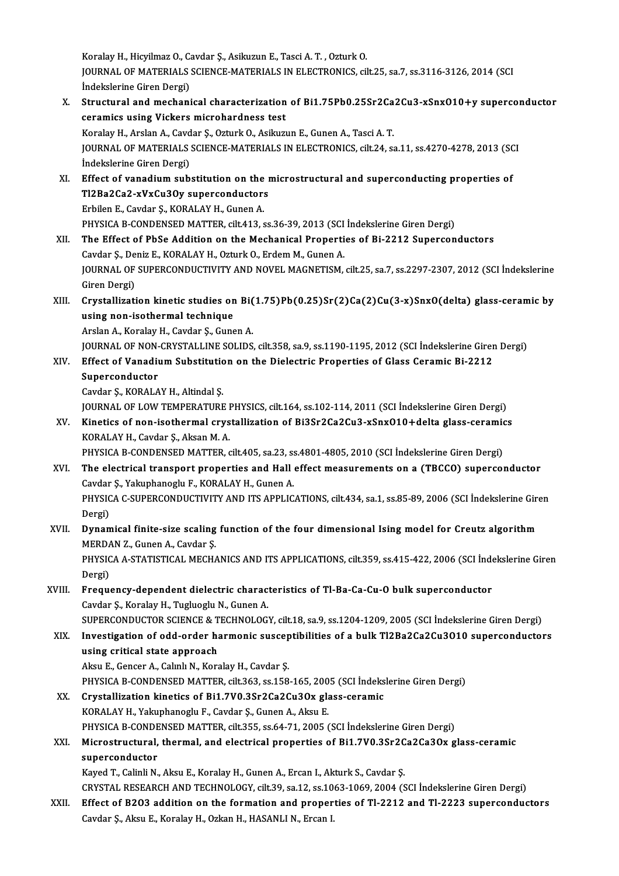Koralay H., Hicyilmaz O., Cavdar Ş., Asikuzun E., Tasci A. T., Ozturk O. Koralay H., Hicyilmaz O., Cavdar Ş., Asikuzun E., Tasci A. T. , Ozturk O.<br>JOURNAL OF MATERIALS SCIENCE-MATERIALS IN ELECTRONICS, cilt.25, sa.7, ss.3116-3126, 2014 (SCI Koralay H., Hicyilmaz O., C.<br>JOURNAL OF MATERIALS<br>İndekslerine Giren Dergi)<br>Structural and mashani JOURNAL OF MATERIALS SCIENCE-MATERIALS IN ELECTRONICS, cilt.25, sa.7, ss.3116-3126, 2014 (SCI<br>Indekslerine Giren Dergi)<br>X. Structural and mechanical characterization of Bi1.75Pb0.25Sr2Ca2Cu3-xSnxO10+y superconductor<br>conomi

- Indekslerine Giren Dergi)<br>Structural and mechanical characterization<br>ceramics using Vickers microhardness test<br>Koralay H. Arelan A. Gaydar S. Orturk O. Asilaya Structural and mechanical characterization of Bi1.75Pb0.25Sr2Ca<br>ceramics using Vickers microhardness test<br>Koralay H., Arslan A., Cavdar Ş., Ozturk O., Asikuzun E., Gunen A., Tasci A. T.<br>JOUPMAL OE MATERIALS SCIENCE MATERIA ceramics using Vickers microhardness test<br>Koralay H., Arslan A., Cavdar Ș., Ozturk O., Asikuzun E., Gunen A., Tasci A. T.<br>JOURNAL OF MATERIALS SCIENCE-MATERIALS IN ELECTRONICS, cilt.24, sa.11, ss.4270-4278, 2013 (SCI Koralay H., Arslan A., Cavd<br>JOURNAL OF MATERIALS<br>İndekslerine Giren Dergi)<br>Fffest of vanadium sub XI. Effect of vanadiumsubstitution on themicrostructural and superconducting properties of
- Indekslerine Giren Dergi)<br>Effect of vanadium substitution on the r<br>Tl2Ba2Ca2-xVxCu3Oy superconductors<br>Erbilen E. Caydar S. KOPALAY H. Gunan A Effect of vanadium substitution on the<br>Tl2Ba2Ca2-xVxCu3Oy superconductor:<br>Erbilen E., Cavdar Ş., KORALAY H., Gunen A.<br>PHYSICA P. CONDENSED MATTER, silt 412, c Erbilen E., Cavdar Ş., KORALAY H., Gunen A.<br>PHYSICA B-CONDENSED MATTER, cilt.413, ss.36-39, 2013 (SCI İndekslerine Giren Dergi)
- XII. The Effect of PbSe Addition on the Mechanical Properties of Bi-2212 Superconductors PHYSICA B-CONDENSED MATTER, cilt.413, ss.36-39, 2013 (SCI<br>The Effect of PbSe Addition on the Mechanical Properti<br>Cavdar Ş., Deniz E., KORALAY H., Ozturk O., Erdem M., Gunen A.<br>JOUPNAL OF SUBERCONDUCTIVITY AND NOVEL MACNETI JOURNAL OF SUPERCONDUCTIVITY AND NOVEL MAGNETISM, cilt.25, sa.7, ss.2297-2307, 2012 (SCI İndekslerine<br>Giren Dergi) Cavdar Ş., De<br>JOURNAL OF<br>Giren Dergi)<br>Cavatallizati JOURNAL OF SUPERCONDUCTIVITY AND NOVEL MAGNETISM, cilt.25, sa.7, ss.2297-2307, 2012 (SCI İndekslerine<br>Giren Dergi)<br>XIII. Crystallization kinetic studies on Bi(1.75)Pb(0.25)Sr(2)Ca(2)Cu(3-x)SnxO(delta) glass-ceramic by<br>wein
- Giren Dergi)<br>Crystallization kinetic studies on<br>using non-isothermal technique<br>Arelan A. Karelau H. Gaudar S. Gung Crystallization kinetic studies on Bi(<br>using non-isothermal technique<br>Arslan A., Koralay H., Cavdar Ş., Gunen A.<br>JOUPMAL OF NON CRYSTALLINE SOLIDS using non-isothermal technique<br>Arslan A., Koralay H., Cavdar Ş., Gunen A.<br>JOURNAL OF NON-CRYSTALLINE SOLIDS, cilt.358, sa.9, ss.1190-1195, 2012 (SCI İndekslerine Giren Dergi)<br>Effect of Vanadium Substitution on the Dielectr

## Arslan A., Koralay H., Cavdar Ş., Gunen A.<br>JOURNAL OF NON-CRYSTALLINE SOLIDS, cilt.358, sa.9, ss.1190-1195, 2012 (SCI İndekslerine Girer<br>XIV. Effect of Vanadium Substitution on the Dielectric Properties of Glass Ceramic Bi **JOURNAL OF NON-<br>Effect of Vanadii<br>Superconductor**<br>Caydar S. KOPALA XIV. Effect of Vanadium Substitution on the Dielectric Properties of Glass Ceramic Bi-2212<br>Superconductor<br>Cavdar Ş., KORALAY H., Altindal Ş. Superconductor<br>Cavdar Ş., KORALAY H., Altindal Ş.<br>JOURNAL OF LOW TEMPERATURE PHYSICS, cilt.164, ss.102-114, 2011 (SCI İndekslerine Giren Dergi)<br>Kinetiss of non isothermal grustallization of Bi3Sr3Ca3Cu3, xSrxQ10 Ldelta gla

Cavdar Ş., KORALAY H., Altindal Ş.<br>JOURNAL OF LOW TEMPERATURE PHYSICS, cilt.164, ss.102-114, 2011 (SCI İndekslerine Giren Dergi)<br>XV. Kinetics of non-isothermal crystallization of Bi3Sr2Ca2Cu3-xSnxO10+delta glass-ceramics<br>K **JOURNAL OF LOW TEMPERATURE I<br>Kinetics of non-isothermal crys<br>KORALAY H., Cavdar Ş., Aksan M. A.<br>PHYSICA P. CONDENSED MATTER .** XV. Kinetics of non-isothermal crystallization of Bi3Sr2Ca2Cu3-xSnx010+delta glass-ceramics<br>KORALAY H., Cavdar Ş., Aksan M. A.<br>PHYSICA B-CONDENSED MATTER, cilt.405, sa.23, ss.4801-4805, 2010 (SCI İndekslerine Giren Dergi)

- XVI. The electrical transport properties and Hall effect measurements on a (TBCCO) superconductor PHYSICA B-CONDENSED MATTER, cilt.405, sa.23, ss.<br>The electrical transport properties and Hall<br>Cavdar Ş., Yakuphanoglu F., KORALAY H., Gunen A.<br>PHYSICA C. SUPERCONDUCTIVITY AND ITS APPLIC PHYSICA C-SUPERCONDUCTIVITY AND ITS APPLICATIONS, cilt.434, sa.1, ss.85-89, 2006 (SCI İndekslerine Giren<br>Dergi) Cavdar<br>PHYSIC<br>Dergi)<br>Dunam PHYSICA C-SUPERCONDUCTIVITY AND ITS APPLICATIONS, cilt.434, sa.1, ss.85-89, 2006 (SCI İndekslerine Gire<br>Dergi)<br>XVII. Dynamical finite-size scaling function of the four dimensional Ising model for Creutz algorithm<br>MEPDAN 7,
- Dergi)<br><mark>Dynamical finite-size scaling</mark><br>MERDAN Z., Gunen A., Cavdar Ş.<br>PHYSICA A STATISTICAL MECH/ Dynamical finite-size scaling function of the four dimensional Ising model for Creutz algorithm<br>MERDAN Z., Gunen A., Cavdar Ş.<br>PHYSICA A-STATISTICAL MECHANICS AND ITS APPLICATIONS, cilt.359, ss.415-422, 2006 (SCI İndeksler

MERDA<br>PHYSIC<br>Dergi)<br>Eregu PHYSICA A-STATISTICAL MECHANICS AND ITS APPLICATIONS, cilt.359, ss.415-422, 2006 (SCI Inde<br>Dergi)<br>XVIII. Frequency-dependent dielectric characteristics of Tl-Ba-Ca-Cu-O bulk superconductor<br>Caydan S. Karaky H. Tuzkiezky N.

## Dergi)<br>XVIII. Frequency-dependent dielectric characteristics of Tl-Ba-Ca-Cu-O bulk superconductor<br>Cavdar Ş., Koralay H., Tugluoglu N., Gunen A. Frequency-dependent dielectric characteristics of Tl-Ba-Ca-Cu-O bulk superconductor<br>Cavdar Ş., Koralay H., Tugluoglu N., Gunen A.<br>SUPERCONDUCTOR SCIENCE & TECHNOLOGY, cilt.18, sa.9, ss.1204-1209, 2005 (SCI İndekslerine Gir

Cavdar Ș., Koralay H., Tugluoglu N., Gunen A.<br>SUPERCONDUCTOR SCIENCE & TECHNOLOGY, cilt.18, sa.9, ss.1204-1209, 2005 (SCI İndekslerine Giren Dergi)<br>XIX. Investigation of odd-order harmonic susceptibilities of a bulk Tl2Ba2 SUPERCONDUCTOR SCIENCE & T<br>Investigation of odd-order has<br>using critical state approach<br>Algu E. Concer A. Colulu N. Kore Investigation of odd-order harmonic susceptibilities of a bulk Tl2Ba2Ca2Cu3O10 superconductors<br>using critical state approach<br>Aksu E., Gencer A., Calınlı N., Koralay H., Cavdar Ş. using critical state approach<br>Aksu E., Gencer A., Calınlı N., Koralay H., Cavdar Ş.<br>PHYSICA B-CONDENSED MATTER, cilt.363, ss.158-165, 2005 (SCI İndekslerine Giren Dergi)<br>Crystalligation kinotiss of Bi1 7V0 2Sr2Ca2Cu2Oy gla

# Aksu E., Gencer A., Calınlı N., Koralay H., Cavdar Ş.<br>PHYSICA B-CONDENSED MATTER, cilt.363, ss.158-165, 2005 (SCI İndeks<br>XX. Crystallization kinetics of Bi1.7V0.3Sr2Ca2Cu3Ox glass-ceramic<br>KOPALAY H. Valanbanoglu E. Cavdar PHYSICA B-CONDENSED MATTER, cilt.363, ss.158-165, 200<br>Crystallization kinetics of Bi1.7V0.3Sr2Ca2Cu3Ox gla<br>KORALAY H., Yakuphanoglu F., Cavdar Ş., Gunen A., Aksu E.<br>PHYSICA R. CONDENSED MATTER, silt 355, ss.64, 71, 2005 (

Crystallization kinetics of Bi1.7V0.3Sr2Ca2Cu3Ox glass-ceramic<br>KORALAY H., Yakuphanoglu F., Cavdar Ş., Gunen A., Aksu E.<br>PHYSICA B-CONDENSED MATTER, cilt.355, ss.64-71, 2005 (SCI İndekslerine Giren Dergi)<br>Mianostuustural,

## KORALAY H., Yakuphanoglu F., Cavdar Ş., Gunen A., Aksu E.<br>PHYSICA B-CONDENSED MATTER, cilt.355, ss.64-71, 2005 (SCI İndekslerine Giren Dergi)<br>XXI. Microstructural, thermal, and electrical properties of Bi1.7V0.3Sr2Ca2Ca3Ox PHYSICA B-CONDE<br>Microstructural,<br>superconductor<br>Kayad T. Calinli N.

Kayed T., Calinli N., Aksu E., Koralay H., Gunen A., Ercan I., Akturk S., Cavdar Ş.

CRYSTALRESEARCHANDTECHNOLOGY, cilt.39, sa.12, ss.1063-1069,2004 (SCI İndekslerineGirenDergi)

Kayed T., Calinli N., Aksu E., Koralay H., Gunen A., Ercan I., Akturk S., Cavdar Ş.<br>CRYSTAL RESEARCH AND TECHNOLOGY, cilt.39, sa.12, ss.1063-1069, 2004 (SCI İndekslerine Giren Dergi)<br>XXII. Effect of B2O3 addition on the fo CRYSTAL RESEARCH AND TECHNOLOGY, cilt.39, sa.12, ss.10<br>Effect of B2O3 addition on the formation and proper<br>Cavdar Ş., Aksu E., Koralay H., Ozkan H., HASANLI N., Ercan I.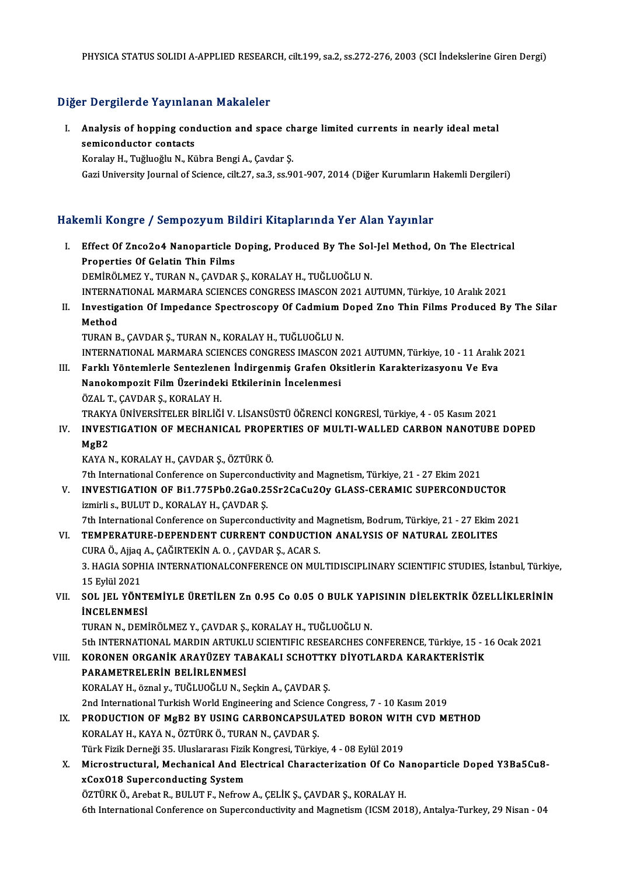## Diğer Dergilerde Yayınlanan Makaleler

Iger Dergilerde Yayınlanan Makaleler<br>I. Analysis of hopping conduction and space charge limited currents in nearly ideal metal Analysis of hopping contacts<br>Semiconductor contacts<br>Example Tughtoghu N. Ex Analysis of hopping conduction and space ch<br>semiconductor contacts<br>Koralay H., Tuğluoğlu N., Kübra Bengi A., Çavdar Ş.<br>Cari University Journal of Ssiance, silt 27, sa 3, sa 94 s<mark>emiconductor contacts</mark><br>Koralay H., Tuğluoğlu N., Kübra Bengi A., Çavdar Ş.<br>Gazi University Journal of Science, cilt.27, sa.3, ss.901-907, 2014 (Diğer Kurumların Hakemli Dergileri)

## Hakemli Kongre / Sempozyum Bildiri Kitaplarında Yer Alan Yayınlar

akemli Kongre / Sempozyum Bildiri Kitaplarında Yer Alan Yayınlar<br>I. Effect Of Znco2o4 Nanoparticle Doping, Produced By The Sol-Jel Method, On The Electrical Finn Rongre / Semponyum Bradish<br>Effect Of Znco2o4 Nanoparticle I<br>Properties Of Gelatin Thin Films<br>REMIRÖLMEZ V. TURAN N. CAVDAR Effect Of Znco2o4 Nanoparticle Doping, Produced By The Sol<br>Properties Of Gelatin Thin Films<br>DEMİRÖLMEZ Y., TURAN N., ÇAVDAR Ş., KORALAY H., TUĞLUOĞLU N.<br>INTERNATIONAL MARMARA SCIENCES CONCRESS IMASCON 2021 AL Properties Of Gelatin Thin Films<br>DEMİRÖLMEZ Y., TURAN N., ÇAVDAR Ş., KORALAY H., TUĞLUOĞLU N.<br>INTERNATIONAL MARMARA SCIENCES CONGRESS IMASCON 2021 AUTUMN. Türkiye, 10 Aralık 2021 DEMİRÖLMEZ Y., TURAN N., ÇAVDAR Ş., KORALAY H., TUĞLUOĞLU N.<br>INTERNATIONAL MARMARA SCIENCES CONGRESS IMASCON 2021 AUTUMN, Türkiye, 10 Aralık 2021<br>II. Investigation Of Impedance Spectroscopy Of Cadmium Doped Zno Thin Fi INTERNA<br>I<mark>nvestig</mark><br>Method<br>TUPAN P Investigation Of Impedance Spectroscopy Of Cadmium I<br>Method<br>TURAN B., ÇAVDAR Ş., TURAN N., KORALAY H., TUĞLUOĞLU N.<br>INTERNATIONAL MARMARA SCIENCES CONCRESS IMASCON 2 Method<br>TURAN B., ÇAVDAR Ş., TURAN N., KORALAY H., TUĞLUOĞLU N.<br>INTERNATIONAL MARMARA SCIENCES CONGRESS IMASCON 2021 AUTUMN, Türkiye, 10 - 11 Aralık 2021<br>Farklı Vöntemlerle Senterlenen İndirgenmiş Crafen Oksitlerin Karakter I IRAN B., ÇAVDAR Ş., TURAN N., KORALAY H., TUĞLUOĞLU N.<br>INTERNATIONAL MARMARA SCIENCES CONGRESS IMASCON 2021 AUTUMN, Türkiye, 10 - 11 Aralıl<br>III. Farklı Yöntemlerle Sentezlenen İndirgenmiş Grafen Oksitlerin Karakterizasyo INTERNATIONAL MARMARA SCIENCES CONGRESS IMASCON 2<br>Farklı Yöntemlerle Sentezlenen İndirgenmiş Grafen Ok<br>Nanokompozit Film Üzerindeki Etkilerinin İncelenmesi<br>ÖZAL T. CAVDAR S. KORALAV H ÖZAL T.,ÇAVDARŞ.,KORALAYH. TRAKYA ÜNİVERSİTELER BİRLİĞİ V. LİSANSÜSTÜ ÖĞRENCİ KONGRESİ, Türkiye, 4 - 05 Kasım 2021 ÖZAL T., ÇAVDAR Ş., KORALAY H.<br>TRAKYA ÜNİVERSİTELER BİRLİĞİ V. LİSANSÜSTÜ ÖĞRENCİ KONGRESİ, Türkiye, 4 - 05 Kasım 2021<br>IV. INVESTIGATION OF MECHANICAL PROPERTIES OF MULTI-WALLED CARBON NANOTUBE DOPED<br>MAR2 TRAKY<br>I<mark>NVES</mark><br>MgB2<br>KAVA N INVESTIGATION OF MECHANICAL PROPE<br>MgB2<br>KAYA N., KORALAY H., ÇAVDAR Ş., ÖZTÜRK Ö.<br><sup>711</sup>h International Conference on Sungreendus MgB2<br>KAYA N., KORALAY H., ÇAVDAR Ş., ÖZTÜRK Ö.<br>7th International Conference on Superconductivity and Magnetism, Türkiye, 21 - 27 Ekim 2021<br>INVESTIC ATION OF Pi1 77EPb0 2Co0 2EST2CoC::20:: CLASS CERAMIC SUPERCONDII KAYA N., KORALAY H., ÇAVDAR Ş., ÖZTÜRK Ö.<br>7th International Conference on Superconductivity and Magnetism, Türkiye, 21 - 27 Ekim 2021<br>7. INVESTIGATION OF Bi1.775Pb0.2Ga0.25Sr2CaCu2Oy GLASS-CERAMIC SUPERCONDUCTOR<br>1. izmirli 7th International Conference on Supercondu<br>INVESTIGATION OF Bi1.775Pb0.2Ga0.2!<br>izmirli s., BULUT D., KORALAY H., ÇAVDAR Ş.<br>7th International Conference on Supercondu INVESTIGATION OF Bi1.775Pb0.2Ga0.25Sr2CaCu2Oy GLASS-CERAMIC SUPERCONDUCTOR<br>izmirli s., BULUT D., KORALAY H., ÇAVDAR Ş.<br>7th International Conference on Superconductivity and Magnetism, Bodrum, Türkiye, 21 - 27 Ekim 2021<br>TEM izmirli s., BULUT D., KORALAY H., ÇAVDAR Ş.<br>7th International Conference on Superconductivity and Magnetism, Bodrum, Türkiye, 21 - 27 Ekim 2<br>7I. TEMPERATURE-DEPENDENT CURRENT CONDUCTION ANALYSIS OF NATURAL ZEOLITES 7th International Conference on Superconductivity and M<br>TEMPERATURE-DEPENDENT CURRENT CONDUCTION<br>CURA Ö., Ajjaq A., ÇAĞIRTEKİN A. O. , ÇAVDAR Ş., ACAR S.<br>2. HACLA SODHLA INTERNATIONAL CONFERENCE ON MIL VI. TEMPERATURE-DEPENDENT CURRENT CONDUCTION ANALYSIS OF NATURAL ZEOLITES<br>CURA Ö., Ajjaq A., ÇAĞIRTEKİN A. O., ÇAVDAR Ş., ACAR S.<br>3. HAGIA SOPHIA INTERNATIONALCONFERENCE ON MULTIDISCIPLINARY SCIENTIFIC STUDIES, İstanbul, T CURA Ö., Ajjaq A., ÇAĞIRTEKİN A. O., ÇAVDAR Ş., ACAR S. 3. HAGIA SOPHIA INTERNATIONALCONFERENCE ON MULTIDISCIPLINARY SCIENTIFIC STUDIES, İstanbul, Türkiye<br>15 Eylül 2021<br>VII. 60L JEL YÖNTEMİYLE ÜRETİLEN Zn 0.95 Co 0.05 O BULK YAPISININ DİELEKTRİK ÖZELLİKLERİNİN<br>İNCELENMESİ 15 Eylül 2021<br>SOL JEL YÖNTI<br>İNCELENMESİ<br>TURAN N. DEMİ SOL JEL YÖNTEMİYLE ÜRETİLEN Zn 0.95 Co 0.05 O BULK YAF<br>İNCELENMESİ<br>TURAN N., DEMİRÖLMEZ Y., ÇAVDAR Ş., KORALAY H., TUĞLUOĞLU N.<br>Eth INTERNATIONAL MARDIN ARTUKLU SCIENTIFIC RESEARCUES CA

İNCELENMESİ<br>TURAN N., DEMİRÖLMEZ Y., ÇAVDAR Ş., KORALAY H., TUĞLUOĞLU N.<br>5th INTERNATIONAL MARDIN ARTUKLU SCIENTIFIC RESEARCHES CONFERENCE, Türkiye, 15 - 16 Ocak 2021<br>KORONEN ORÇANİK ARAYÜZEV TARAKALI SCHOTTKY DİVOTI ARDA TURAN N., DEMİRÖLMEZ Y., ÇAVDAR Ş., KORALAY H., TUĞLUOĞLU N.<br>5th INTERNATIONAL MARDIN ARTUKLU SCIENTIFIC RESEARCHES CONFERENCE, Türkiye, 15 - 1<br>1918 NARAMETRELERIN BELİBI ENMESİ

## 5th INTERNATIONAL MARDIN ARTUKL<br>**KORONEN ORGANİK ARAYÜZEY TA**<br>PARAMETRELERİN BELİRLENMESİ<br>KORALAY U. ÖTRELIZ TUĞLUQĞLU N. S KORONEN ORGANİK ARAYÜZEY TABAKALI SCHOTTKY DİYOTLARDA KARAKTERİSTİK<br>PARAMETRELERİN BELİRLENMESİ<br>KORALAY H., öznal y., TUĞLUOĞLU N., Seçkin A., ÇAVDAR Ş. 2nd International Turkish World Engineering and Science Congress, 7 - 10 Kasım 2019 KORALAY H., öznal y., TUĞLUOĞLU N., Seçkin A., ÇAVDAR Ş.<br>2nd International Turkish World Engineering and Science Congress, 7 - 10 Kasım 2019<br>IX. PRODUCTION OF MgB2 BY USING CARBONCAPSULATED BORON WITH CVD METHOD<br>KORALAY H.

- KORALAYH.,KAYAN.,ÖZTÜRKÖ.,TURANN.,ÇAVDARŞ. PRODUCTION OF MgB2 BY USING CARBONCAPSULATED BORON WIT<br>KORALAY H., KAYA N., ÖZTÜRK Ö., TURAN N., ÇAVDAR Ş.<br>Türk Fizik Derneği 35. Uluslararası Fizik Kongresi, Türkiye, 4 - 08 Eylül 2019<br>Mispostrustural, Moshanisal And Eles Türk Fizik Derneği 35. Uluslararası Fizik Kongresi, Türkiye, 4 - 08 Eylül 2019
- X. Microstructural,Mechanical And Electrical Characterization Of Co Nanoparticle Doped Y3Ba5Cu8- ÖZTÜRK Ö., Arebat R., BULUT F., Nefrow A., ÇELİK Ş., ÇAVDAR Ş., KORALAY H. 6th International Conference on Superconductivity and Magnetism (ICSM 2018), Antalya-Turkey, 29 Nisan - 04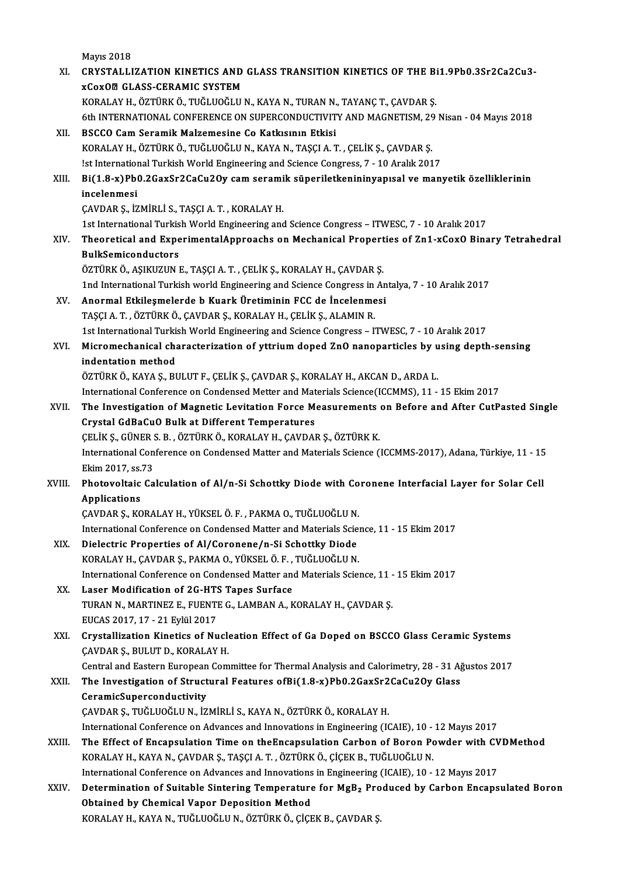|        | <b>Mayıs 2018</b>                                                                                                        |
|--------|--------------------------------------------------------------------------------------------------------------------------|
| XI.    | CRYSTALLIZATION KINETICS AND GLASS TRANSITION KINETICS OF THE Bi1.9Pb0.3Sr2Ca2Cu3-                                       |
|        | <b>xCoxOZ GLASS-CERAMIC SYSTEM</b><br>KORALAY H., ÖZTÜRK Ö., TUĞLUOĞLU N., KAYA N., TURAN N., TAYANÇ T., ÇAVDAR Ş.       |
|        | 6th INTERNATIONAL CONFERENCE ON SUPERCONDUCTIVITY AND MAGNETISM, 29 Nisan - 04 Mayıs 2018                                |
| XII.   | BSCCO Cam Seramik Malzemesine Co Katkısının Etkisi                                                                       |
|        | KORALAY H., ÖZTÜRK Ö., TUĞLUOĞLU N., KAYA N., TAŞÇI A. T. , ÇELİK Ş., ÇAVDAR Ş.                                          |
|        | !st International Turkish World Engineering and Science Congress, 7 - 10 Aralık 2017                                     |
| XIII.  | Bi(1.8-x)Pb0.2GaxSr2CaCu2Oy cam seramik süperiletkenininyapısal ve manyetik özelliklerinin                               |
|        | incelenmesi                                                                                                              |
|        | ÇAVDAR Ş., İZMİRLİ S., TAŞÇI A. T., KORALAY H.                                                                           |
|        | 1st International Turkish World Engineering and Science Congress - ITWESC, 7 - 10 Aralık 2017                            |
| XIV.   | Theoretical and ExperimentalApproachs on Mechanical Properties of Zn1-xCoxO Binary Tetrahedral                           |
|        | <b>BulkSemiconductors</b>                                                                                                |
|        | ÖZTÜRK Ö., AŞIKUZUN E., TAŞÇI A. T. , ÇELİK Ş., KORALAY H., ÇAVDAR Ş.                                                    |
|        | 1nd International Turkish world Engineering and Science Congress in Antalya, 7 - 10 Aralık 2017                          |
| XV.    | Anormal Etkileşmelerde b Kuark Üretiminin FCC de İncelenmesi                                                             |
|        | TAŞÇI A. T. , ÖZTÜRK Ö., ÇAVDAR Ş., KORALAY H., ÇELİK Ş., ALAMIN R.                                                      |
|        | 1st International Turkish World Engineering and Science Congress - ITWESC, 7 - 10 Aralık 2017                            |
| XVI.   | Micromechanical characterization of yttrium doped ZnO nanoparticles by using depth-sensing                               |
|        | indentation method                                                                                                       |
|        | ÖZTÜRK Ö., KAYA Ş., BULUT F., ÇELİK Ş., ÇAVDAR Ş., KORALAY H., AKCAN D., ARDA L.                                         |
|        | International Conference on Condensed Metter and Materials Science(ICCMMS), 11 - 15 Ekim 2017                            |
| XVII.  | The Investigation of Magnetic Levitation Force Measurements on Before and After CutPasted Single                         |
|        | Crystal GdBaCuO Bulk at Different Temperatures                                                                           |
|        | ÇELİK Ş., GÜNER S. B., ÖZTÜRK Ö., KORALAY H., ÇAVDAR Ş., ÖZTÜRK K.                                                       |
|        | International Conference on Condensed Matter and Materials Science (ICCMMS-2017), Adana, Türkiye, 11 - 15                |
|        | Ekim 2017, ss 73                                                                                                         |
| XVIII. | Photovoltaic Calculation of Al/n-Si Schottky Diode with Coronene Interfacial Layer for Solar Cell<br><b>Annlications</b> |
|        | ÇAVDAR Ş., KORALAY H., YÜKSEL Ö. F., PAKMA O., TUĞLUOĞLU N.                                                              |
|        | International Conference on Condensed Matter and Materials Science, 11 - 15 Ekim 2017                                    |
| XIX.   | Dielectric Properties of Al/Coronene/n-Si Schottky Diode                                                                 |
|        | KORALAY H., ÇAVDAR Ş., PAKMA O., YÜKSEL Ö. F., TUĞLUOĞLU N.                                                              |
|        | International Conference on Condensed Matter and Materials Science, 11 - 15 Ekim 2017                                    |
| XX.    | Laser Modification of 2G-HTS Tapes Surface                                                                               |
|        | TURAN N., MARTINEZ E., FUENTE G., LAMBAN A., KORALAY H., ÇAVDAR Ş.                                                       |
|        | EUCAS 2017, 17 - 21 Eylül 2017                                                                                           |
| XXI.   | Crystallization Kinetics of Nucleation Effect of Ga Doped on BSCCO Glass Ceramic Systems                                 |
|        | ÇAVDAR Ş., BULUT D., KORALAY H.                                                                                          |
|        | Central and Eastern European Committee for Thermal Analysis and Calorimetry, 28 - 31 Ağustos 2017                        |
| XXII.  | The Investigation of Structural Features ofBi(1.8-x)Pb0.2GaxSr2CaCu2Oy Glass                                             |
|        | CeramicSuperconductivity                                                                                                 |
|        | ÇAVDAR Ş., TUĞLUOĞLU N., İZMİRLİ S., KAYA N., ÖZTÜRK Ö., KORALAY H.                                                      |
|        | International Conference on Advances and Innovations in Engineering (ICAIE), 10 - 12 Mayıs 2017                          |
| XXIII. | The Effect of Encapsulation Time on the Encapsulation Carbon of Boron Powder with CVDMethod                              |
|        | KORALAY H., KAYA N., ÇAVDAR Ş., TAŞÇI A. T. , ÖZTÜRK Ö., ÇİÇEK B., TUĞLUOĞLU N.                                          |
|        | International Conference on Advances and Innovations in Engineering (ICAIE), 10 - 12 Mayıs 2017                          |
| XXIV.  | Determination of Suitable Sintering Temperature for MgB <sub>2</sub> Produced by Carbon Encapsulated Boron               |
|        | Obtained by Chemical Vapor Deposition Method                                                                             |
|        | KORALAY H., KAYA N., TUĞLUOĞLU N., ÖZTÜRK Ö., ÇİÇEK B., ÇAVDAR Ş.                                                        |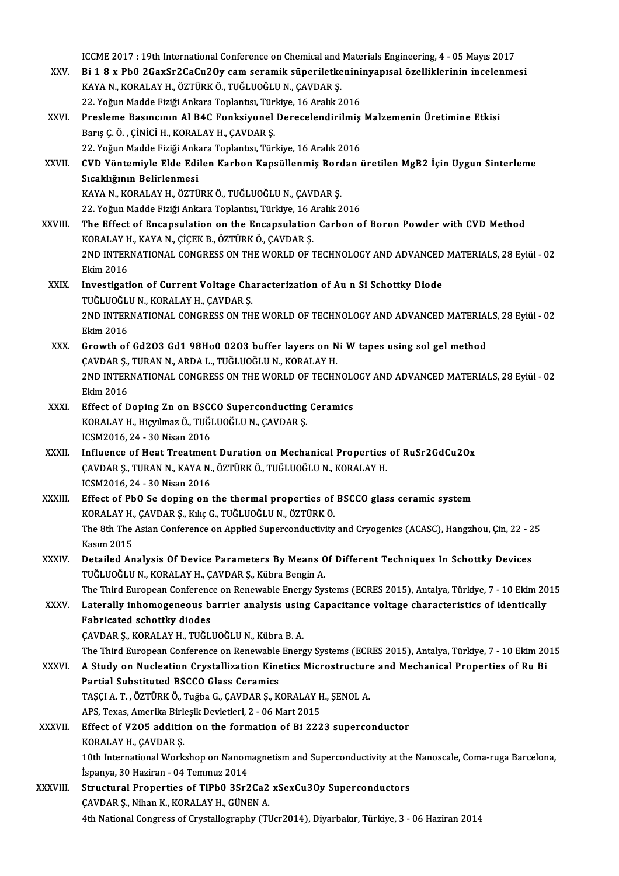ICCME 2017 : 19th International Conference on Chemical and Materials Engineering, 4 - 05 Mayıs 2017<br>Pi 1.9 v Pb0.2CovSr2CoCv2Ov sam soramik güneriletkenininyanısal özelliklerinin inselanme

- ICCME 2017 : 19th International Conference on Chemical and Materials Engineering, 4 05 Mayıs 2017<br>XXV. Bi 1 8 x Pb0 2GaxSr2CaCu2Oy cam seramik süperiletkenininyapısal özelliklerinin incelenmesi ICCME 2017 : 19th International Conference on Chemical and<br>Bi 1 8 x Pb0 2GaxSr2CaCu2Oy cam seramik süperiletke<br>KAYA N., KORALAY H., ÖZTÜRK Ö., TUĞLUOĞLU N., ÇAVDAR Ş.<br>22 Yeğun Madde Firiği Ankana Tanlantar Türkiye 16 Analı Bi 1 8 x Pb0 2GaxSr2CaCu2Oy cam seramik süperiletkenininyapısal özelliklerinin incelenmesi<br>KAYA N., KORALAY H., ÖZTÜRK Ö., TUĞLUOĞLU N., ÇAVDAR Ş.<br>22. Yoğun Madde Fiziği Ankara Toplantısı, Türkiye, 16 Aralık 2016 KAYA N., KORALAY H., ÖZTÜRK Ö., TUĞLUOĞLU N., ÇAVDAR Ş.<br>22. Yoğun Madde Fiziği Ankara Toplantısı, Türkiye, 16 Aralık 2016<br>XXVI. Presleme Basıncının Al B4C Fonksiyonel Derecelendirilmiş Malzemenin Üretimine Etkisi
- Barış Ç. Ö., ÇİNİCİ H., KORALAY H., ÇAVDAR Ş. Presleme Basıncının Al B4C Fonksiyonel Derecelendirilmiş<br>Barış Ç. Ö. , ÇİNİCİ H., KORALAY H., ÇAVDAR Ş.<br>22. Yoğun Madde Fiziği Ankara Toplantısı, Türkiye, 16 Aralık 2016<br>CVD Yöntemiyle Elde Edilen Karben Kensüllenmiş Borda 22. Yoğun Madde Fiziği Ankara Toplantısı, Türkiye, 16 Aralık 2016
- XXVII. CVD Yöntemiyle Elde Edilen Karbon Kapsüllenmiş Bordan üretilen MgB2 İçin Uygun Sinterleme<br>Sıcaklığının Belirlenmesi CVD Yöntemiyle Elde Edilen Karbon Kapsüllenmiş Bord<br>Sıcaklığının Belirlenmesi<br>KAYA N., KORALAY H., ÖZTÜRK Ö., TUĞLUOĞLU N., ÇAVDAR Ş.<br>22 Yoğun Madda Firiği Ankara Tanlantar Türkiye 16 Aralık 2 Sıcaklığının Belirlenmesi<br>KAYA N., KORALAY H., ÖZTÜRK Ö., TUĞLUOĞLU N., ÇAVDAR Ş.<br>22. Yoğun Madde Fiziği Ankara Toplantısı, Türkiye, 16 Aralık 2016<br>The Effect of Encapsulation on the Encapsulation Carbon o
- 22. Yoğun Madde Fiziği Ankara Toplantısı, Türkiye, 16 Aralık 2016<br>XXVIII. The Effect of Encapsulation on the Encapsulation Carbon of Boron Powder with CVD Method KORALAYH.,KAYAN.,ÇİÇEKB.,ÖZTÜRKÖ.,ÇAVDARŞ. The Effect of Encapsulation on the Encapsulation Carbon of Boron Powder with CVD Method<br>KORALAY H., KAYA N., ÇİÇEK B., ÖZTÜRK Ö., ÇAVDAR Ş.<br>2ND INTERNATIONAL CONGRESS ON THE WORLD OF TECHNOLOGY AND ADVANCED MATERIALS, 28 E KORALAY<br>2ND INTER<br>Ekim 2016<br>Investigati 2ND INTERNATIONAL CONGRESS ON THE WORLD OF TECHNOLOGY AND ADVANCED<br>Ekim 2016<br>XXIX. Investigation of Current Voltage Characterization of Au n Si Schottky Diode<br>THELIOCLUM FORALAY H GAVDAR S
	- Ekim 2016<br>Investigation of Current Voltage Characterization of Au n Si Schottky Diode 2ND INTERNATIONAL CONGRESS ON THE WORLD OF TECHNOLOGY AND ADVANCED MATERIALS, 28 Eylül - 02<br>Ekim 2016 TUĞLUOĞLU N., KORALAY H., ÇAVDAR Ş. 2ND INTERNATIONAL CONGRESS ON THE WORLD OF TECHNOLOGY AND ADVANCED MATERIAL<br>Ekim 2016<br>XXX. Growth of Gd2O3 Gd1 98Ho0 02O3 buffer layers on Ni W tapes using sol gel method<br>GAVDAR S TURAN N. ARDA L TUČLUOČLU N. KORALAY H
	- Ekim 2016<br>Growth of Gd2O3 Gd1 98Ho0 02O3 buffer layers on N<br>ÇAVDARŞ., TURAN N., ARDA L., TUĞLUOĞLU N., KORALAY H.<br>2ND INTERNATIONAL CONCRESS ON THE WORLD OF TECHN 2ND INTERNATIONAL CONGRESS ON THE WORLD OF TECHNOLOGY AND ADVANCED MATERIALS, 28 Eylül - 02<br>Ekim 2016 CAVDAR Ş., TURAN N., ARDA L., TUĞLUOĞLU N., KORALAY H. 2ND INTERNATIONAL CONGRESS ON THE WORLD OF TECHNOLO<br>Ekim 2016<br>XXXI. Effect of Doping Zn on BSCCO Superconducting Ceramics<br>KORALAY H. Highlmag Ö, THČLHOČLH N, CAVDAR S
- Ekim 2016<br>Effect of Doping Zn on BSCCO Superconducting<br>KORALAY H., Hiçyılmaz Ö., TUĞLUOĞLU N., ÇAVDAR Ş.<br>ICSM2016 24 20 Nisan 2016 Effect of Doping Zn on BSC<br>KORALAY H., Hiçyılmaz Ö., TUĞI<br>ICSM2016, 24 - 30 Nisan 2016<br>Influence of Hest Treatmen
- KORALAY H., Hiçyılmaz Ö., TUĞLUOĞLU N., ÇAVDAR Ş.<br>ICSM2016, 24 30 Nisan 2016<br>XXXII. Influence of Heat Treatment Duration on Mechanical Properties of RuSr2GdCu2Ox ICSM2016, 24 - 30 Nisan 2016<br>Influence of Heat Treatment Duration on Mechanical Properties<br>ÇAVDAR Ş., TURAN N., KAYA N., ÖZTÜRK Ö., TUĞLUOĞLU N., KORALAY H.<br>ICSM2016, 24, ...20 Nisan 2016 Influence of Heat Treatmen<br>ÇAVDAR Ş., TURAN N., KAYA N.<br>ICSM2016, 24 - 30 Nisan 2016<br>Effect of PhO Se dening en CAVDAR Ş., TURAN N., KAYA N., ÖZTÜRK Ö., TUĞLUOĞLU N., KORALAY H.<br>ICSM2016, 24 - 30 Nisan 2016<br>XXXIII. Effect of PbO Se doping on the thermal properties of BSCCO glass ceramic system<br>KORALAY H. GAVDAR S. KIKO, TUĞLUOĞLU N.
- ICSM2016, 24 30 Nisan 2016<br>Effect of PbO Se doping on the thermal properties of<br>KORALAY H., ÇAVDAR Ş., Kılıç G., TUĞLUOĞLU N., ÖZTÜRK Ö.<br>The <sup>9th</sup> The Asian Conference on Annlied Sunersendustivity Effect of PbO Se doping on the thermal properties of BSCCO glass ceramic system<br>KORALAY H., ÇAVDAR Ş., Kılıç G., TUĞLUOĞLU N., ÖZTÜRK Ö.<br>The 8th The Asian Conference on Applied Superconductivity and Cryogenics (ACASC), Han KORALAY H.<br>The 8th The<br>Kasım 2015<br>Detailed Ar The 8th The Asian Conference on Applied Superconductivity and Cryogenics (ACASC), Hangzhou, Çin, 22 - 2<br>Kasım 2015<br>XXXIV. Detailed Analysis Of Device Parameters By Means Of Different Techniques In Schottky Devices<br>TUČLUOČL
- Kasım 2015<br>Detailed Analysis Of Device Parameters By Means Of Different Techniques In Schottky Devices<br>TUĞLUOĞLU N., KORALAY H., ÇAVDAR Ş., Kübra Bengin A.<br>The Third European Conference on Renewable Energy Systems (ECRES 2 Detailed Analysis Of Device Parameters By Means Of Different Techniques In Schottky Devices
- TUĞLUOĞLU N., KORALAY H., ÇAVDAR Ş., Kübra Bengin A.<br>The Third European Conference on Renewable Energy Systems (ECRES 2015), Antalya, Türkiye, 7 10 Ekim 20<br>XXXV. Laterally inhomogeneous barrier analysis using Capacit The Third European Conferenc<br>Laterally inhomogeneous b<br>Fabricated schottky diodes<br>CAVDAP S, KOPALAY H, TUČL Fabricated schottky diodes<br>CAVDAR Ş., KORALAY H., TUĞLUOĞLU N., Kübra B. A.
	-
	- The Third European Conference on Renewable Energy Systems (ECRES 2015), Antalya, Türkiye, 7 10 Ekim 2015
- CAVDAR Ş., KORALAY H., TUĞLUOĞLU N., Kübra B. A.<br>The Third European Conference on Renewable Energy Systems (ECRES 2015), Antalya, Türkiye, 7 10 Ekim 20<br>XXXVI. A Study on Nucleation Crystallization Kinetics Microstructure The Third European Conference on Renewable<br>A Study on Nucleation Crystallization Kine<br>Partial Substituted BSCCO Glass Ceramics<br>TASCLA T. ÖZTÜRKÖ Työbe C. CAVDARS, K A Study on Nucleation Crystallization Kinetics Microstructure<br>Partial Substituted BSCCO Glass Ceramics<br>TAŞÇI A. T. , ÖZTÜRK Ö., Tuğba G., ÇAVDAR Ş., KORALAY H., ŞENOL A.<br>APS Tavas Amerika Birlesik Devletleri 2, 06 Mert 201 Partial Substituted BSCCO Glass Ceramics<br>TAŞÇI A. T., ÖZTÜRK Ö., Tuğba G., ÇAVDAR Ş., KORALAY H., ŞENOL A.
	- APS, Texas, Amerika Birleşik Devletleri, 2 06 Mart 2015
- XXXVII. Effect of V205 addition on the formation of Bi 2223 superconductor<br>KORALAY H., CAVDAR S.
- Effect of V205 addition on the formation of Bi 2223 superconductor<br>KORALAY H., ÇAVDAR Ş.<br>10th International Workshop on Nanomagnetism and Superconductivity at the Nanoscale, Coma-ruga Barcelona,<br>Ispanya 30 Hariran, 04 Tamm KORALAY H., ÇAVDAR Ş.<br>10th International Workshop on Nanom<br>İspanya, 30 Haziran - 04 Temmuz 2014<br>Strustural Properties of TIPb0 3Sr3 10th International Workshop on Nanomagnetism and Superconductivity at the<br>
ispanya, 30 Haziran - 04 Temmuz 2014<br>
XXXVIII. Structural Properties of TIPb0 3Sr2Ca2 xSexCu3Oy Superconductors<br>
CAVDAR S. Nihan K. KORALAN H. CÜNE
- İspanya, 30 Haziran 04 Temmuz 2014<br>Structural Properties of TlPb0 3Sr2Ca2<br>ÇAVDAR Ş., Nihan K., KORALAY H., GÜNEN A.<br>4th National Cangress of Grustallography (Tl 4thNationalCongress ofCrystalography (TUcr2014),Diyarbakır,Türkiye,3 -06Haziran2014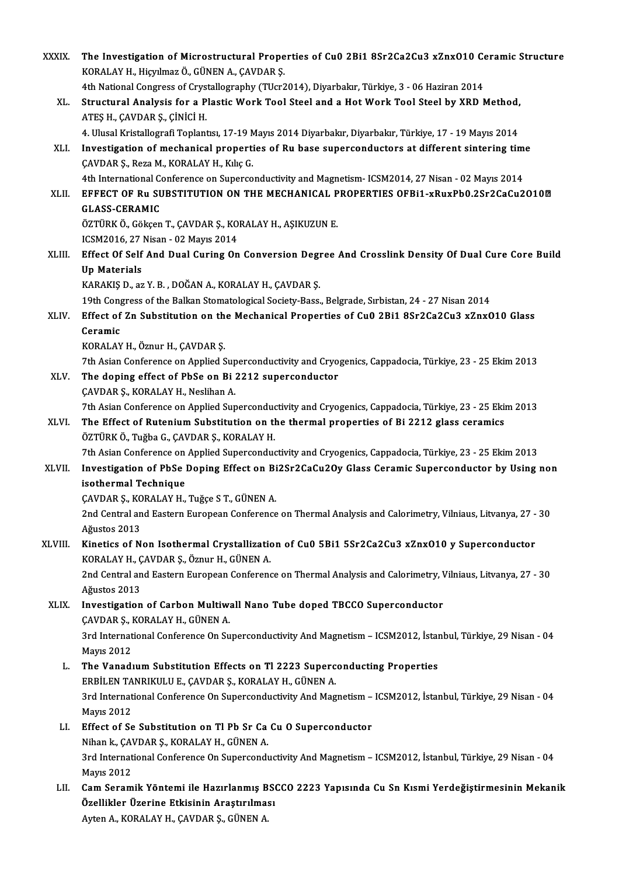| <b>XXXIX</b> | The Investigation of Microstructural Properties of Cu0 2Bi1 8Sr2Ca2Cu3 xZnx010 Ceramic Structure                                          |
|--------------|-------------------------------------------------------------------------------------------------------------------------------------------|
|              | KORALAY H., Hiçyılmaz Ö., GÜNEN A., ÇAVDAR Ş.                                                                                             |
|              | 4th National Congress of Crystallography (TUcr2014), Diyarbakır, Türkiye, 3 - 06 Haziran 2014                                             |
| XL.          | Structural Analysis for a Plastic Work Tool Steel and a Hot Work Tool Steel by XRD Method,<br>ATES H., ÇAVDAR Ş., ÇİNİCİ H.               |
|              | 4. Ulusal Kristallografi Toplantısı, 17-19 Mayıs 2014 Diyarbakır, Diyarbakır, Türkiye, 17 - 19 Mayıs 2014                                 |
| XLI.         | Investigation of mechanical properties of Ru base superconductors at different sintering time<br>ÇAVDAR Ş., Reza M., KORALAY H., Kılıç G. |
|              | 4th International Conference on Superconductivity and Magnetism- ICSM2014, 27 Nisan - 02 Mayıs 2014                                       |
| XLII.        | EFFECT OF Ru SUBSTITUTION ON THE MECHANICAL PROPERTIES OFBI1-xRuxPb0.2Sr2CaCu2O10 <sup>m</sup><br><b>GLASS-CERAMIC</b>                    |
|              | ÖZTÜRK Ö., Gökçen T., ÇAVDAR Ş., KORALAY H., AŞIKUZUN E.<br>ICSM2016, 27 Nisan - 02 Mayıs 2014                                            |
| XLIII.       | Effect Of Self And Dual Curing On Conversion Degree And Crosslink Density Of Dual Cure Core Build                                         |
|              | <b>Up Materials</b>                                                                                                                       |
|              | KARAKIŞ D., az Y. B., DOĞAN A., KORALAY H., ÇAVDAR Ş.                                                                                     |
|              | 19th Congress of the Balkan Stomatological Society-Bass., Belgrade, Sırbistan, 24 - 27 Nisan 2014                                         |
| XLIV.        | Effect of Zn Substitution on the Mechanical Properties of Cu0 2Bi1 8Sr2Ca2Cu3 xZnxO10 Glass<br>Ceramic                                    |
|              | KORALAY H., Öznur H., ÇAVDAR Ş.                                                                                                           |
|              | 7th Asian Conference on Applied Superconductivity and Cryogenics, Cappadocia, Türkiye, 23 - 25 Ekim 2013                                  |
| XLV.         | The doping effect of PbSe on Bi 2212 superconductor                                                                                       |
|              | ÇAVDAR Ş., KORALAY H., Neslihan A.                                                                                                        |
|              | 7th Asian Conference on Applied Superconductivity and Cryogenics, Cappadocia, Türkiye, 23 - 25 Ekim 2013                                  |
| XLVI.        | The Effect of Rutenium Substitution on the thermal properties of Bi 2212 glass ceramics                                                   |
|              | ÖZTÜRK Ö., Tuğba G., ÇAVDAR Ş., KORALAY H.                                                                                                |
|              | 7th Asian Conference on Applied Superconductivity and Cryogenics, Cappadocia, Türkiye, 23 - 25 Ekim 2013                                  |
| XLVII.       | Investigation of PbSe Doping Effect on Bi2Sr2CaCu2Oy Glass Ceramic Superconductor by Using non<br>isothermal Technique                    |
|              | CAVDAR S., KORALAY H., Tuğçe S T., GÜNEN A.                                                                                               |
|              | 2nd Central and Eastern European Conference on Thermal Analysis and Calorimetry, Vilniaus, Litvanya, 27 - 30                              |
|              | Ağustos 2013                                                                                                                              |
| XLVIII.      | Kinetics of Non Isothermal Crystallization of Cu0 5Bi1 5Sr2Ca2Cu3 xZnx010 y Superconductor                                                |
|              | KORALAY H., ÇAVDAR Ş., Öznur H., GÜNEN A.                                                                                                 |
|              | 2nd Central and Eastern European Conference on Thermal Analysis and Calorimetry, Vilniaus, Litvanya, 27 - 30<br>Ağustos 2013              |
| XLIX.        | Investigation of Carbon Multiwall Nano Tube doped TBCCO Superconductor                                                                    |
|              | ÇAVDAR Ş., KORALAY H., GÜNEN A.                                                                                                           |
|              | 3rd International Conference On Superconductivity And Magnetism - ICSM2012, İstanbul, Türkiye, 29 Nisan - 04<br><b>Mayıs 2012</b>         |
| L.           | The Vanadium Substitution Effects on Tl 2223 Superconducting Properties<br>ERBİLEN TANRIKULU E., ÇAVDAR Ş., KORALAY H., GÜNEN A.          |
|              | 3rd International Conference On Superconductivity And Magnetism - ICSM2012, İstanbul, Türkiye, 29 Nisan - 04<br><b>Mayıs 2012</b>         |
| LI.          | Effect of Se Substitution on Tl Pb Sr Ca Cu O Superconductor                                                                              |
|              | Nihan k., ÇAVDAR Ş., KORALAY H., GÜNEN A.                                                                                                 |
|              | 3rd International Conference On Superconductivity And Magnetism - ICSM2012, İstanbul, Türkiye, 29 Nisan - 04                              |
|              | <b>Mayıs 2012</b>                                                                                                                         |
| LII.         | Cam Seramik Yöntemi ile Hazırlanmış BSCCO 2223 Yapısında Cu Sn Kısmi Yerdeğiştirmesinin Mekanik                                           |
|              | Özellikler Üzerine Etkisinin Araştırılması                                                                                                |
|              | Ayten A., KORALAY H., ÇAVDAR Ş., GÜNEN A.                                                                                                 |
|              |                                                                                                                                           |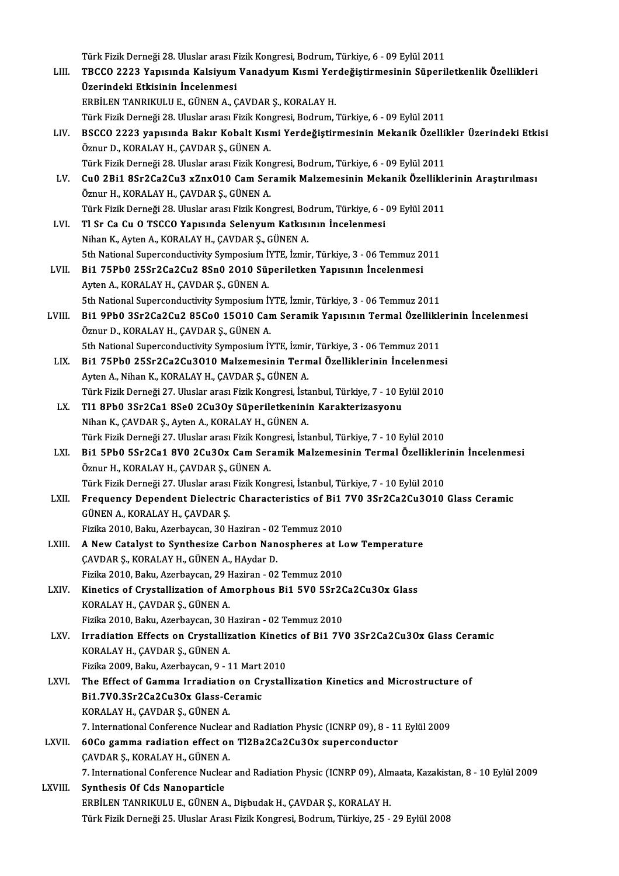Türk Fizik Derneği 28. Uluslar arası Fizik Kongresi, Bodrum, Türkiye, 6 - 09 Eylül 2011<br>TBCCO 2222 Yanısında Kalajiyum Vanadıyum Kısmi Yandağıstirmesinin Süneril

LIII. TBCCO 2223 Yapısında Kalsiyum Vanadyum Kısmi Yerdeğiştirmesinin Süperiletkenlik Özellikleri<br>Üzerindeki Etkisinin İncelenmesi Türk Fizik Derneği 28. Uluslar arası F<br>TBCCO 2223 Yapısında Kalsiyum<br>Üzerindeki Etkisinin İncelenmesi<br>EDRİLEN TANDIKULU E. CÜNEN A. C ERBİLEN TANRIKULU E., GÜNEN A., ÇAVDAR Ş., KORALAY H. Türk Fizik Derneği 28. Uluslar arası Fizik Kongresi, Bodrum, Türkiye, 6 - 09 Eylül 2011 ERBİLEN TANRIKULU E., GÜNEN A., ÇAVDAR Ş., KORALAY H.<br>Türk Fizik Derneği 28. Uluslar arası Fizik Kongresi, Bodrum, Türkiye, 6 - 09 Eylül 2011<br>LIV. BSCCO 2223 yapısında Bakır Kobalt Kısmi Yerdeğiştirmesinin Mekanik Özel Öznur D., KORALAY H., ÇAVDAR Ş., GÜNEN A.<br>Türk Fizik Derneği 28. Uluslar arası Fizik Kongresi, Bodrum, Türkiye, 6 - 09 Eylül 2011 BSCCO 2223 yapısında Bakır Kobalt Kısmi Yerdeğiştirmesinin Mekanik Özellil<br>Öznur D., KORALAY H., ÇAVDAR Ş., GÜNEN A.<br>Türk Fizik Derneği 28. Uluslar arası Fizik Kongresi, Bodrum, Türkiye, 6 - 09 Eylül 2011<br>Cuû 2Bi1 8Sr2C22C Öznur D., KORALAY H., ÇAVDAR Ş., GÜNEN A.<br>Türk Fizik Derneği 28. Uluslar arası Fizik Kongresi, Bodrum, Türkiye, 6 - 09 Eylül 2011<br>LV. Cu0 2Bi1 8Sr2Ca2Cu3 xZnxO10 Cam Seramik Malzemesinin Mekanik Özelliklerinin Araştırı Türk Fizik Derneği 28. Uluslar arası Fizik Kon<br>Cu0 2Bi1 8Sr2Ca2Cu3 xZnx010 Cam Ser<br>Öznur H., KORALAY H., ÇAVDAR Ş., GÜNEN A.<br>Türk Fizik Derneği 29. Uluslar arası Fizik Kon Cu0 2Bi1 8Sr2Ca2Cu3 xZnx010 Cam Seramik Malzemesinin Mekanik Özellikle<br>Öznur H., KORALAY H., ÇAVDAR Ş., GÜNEN A.<br>Türk Fizik Derneği 28. Uluslar arası Fizik Kongresi, Bodrum, Türkiye, 6 - 09 Eylül 2011<br>Tl Sr Ce Gu O TSCCO Y Öznur H., KORALAY H., ÇAVDAR Ş., GÜNEN A.<br>Türk Fizik Derneği 28. Uluslar arası Fizik Kongresi, Bodrum, Türkiye, 6 - I<br>LVI. Tl Sr Ca Cu O TSCCO Yapısında Selenyum Katkısının İncelenmesi<br>Nihan K., Ayten A., KORALAY H., Ç Türk Fizik Derneği 28. Uluslar arası Fizik Kongresi, Bodrum, Türkiye, 6 - 09 Eylül 2011 5th National Superconductivity Symposium İYTE, İzmir, Türkiye, 3 - 06 Temmuz 2011 Nihan K., Ayten A., KORALAY H., ÇAVDAR Ş., GÜNEN A.<br>5th National Superconductivity Symposium İYTE, İzmir, Türkiye, 3 - 06 Temmuz 20<br>LVII. Bi1 75Pb0 25Sr2Ca2Cu2 8Sn0 2010 Süperiletken Yapısının İncelenmesi Ayten A., KORALAY H., ÇAVDAR Ş., GÜNEN A.<br>5th National Superconductivity Symposium İYTE, İzmir, Türkiye, 3 - 06 Temmuz 2011 Bi1 75Pb0 25Sr2Ca2Cu2 8Sn0 2010 Süperiletken Yapısının İncelenmesi<br>Ayten A., KORALAY H., ÇAVDAR Ş., GÜNEN A.<br>5th National Superconductivity Symposium İYTE, İzmir, Türkiye, 3 - 06 Temmuz 2011<br>Pi1 APb0 3Sr2Co2Cu2 85Co0 15010 LVIII. Bi1 9Pb0 3Sr2Ca2Cu2 85Co0 15010 Cam Seramik Yapısının Termal Özelliklerinin İncelenmesi Öznur D., KORALAY H., ÇAVDAR Ş., GÜNEN A. Bi1 9Pb0 3Sr2Ca2Cu2 85Co0 15010 Cam Seramik Yapısının Termal Özellikle<br>Öznur D., KORALAY H., ÇAVDAR Ş., GÜNEN A.<br>5th National Superconductivity Symposium İYTE, İzmir, Türkiye, 3 - 06 Temmuz 2011<br>Pi1 75Pb0 25Sr2Co2Cu2010 Ma Öznur D., KORALAY H., ÇAVDAR Ş., GÜNEN A.<br>5th National Superconductivity Symposium İYTE, İzmir, Türkiye, 3 - 06 Temmuz 2011<br>LIX. Bi1 75Pb0 25Sr2Ca2Cu3O10 Malzemesinin Termal Özelliklerinin İncelenmesi 5th National Superconductivity Symposium İYTE, İzmir<br>Bi1 75Pb0 25Sr2Ca2Cu3O10 Malzemesinin Tern<br>Ayten A., Nihan K., KORALAY H., ÇAVDAR Ş., GÜNEN A.<br>Türk Firik Derneği 27 Hluslar arası Firik Kongresi, İsta Bi1 75Pb0 25Sr2Ca2Cu3010 Malzemesinin Termal Özelliklerinin İncelenmesi<br>Ayten A., Nihan K., KORALAY H., ÇAVDAR Ş., GÜNEN A.<br>Türk Fizik Derneği 27. Uluslar arası Fizik Kongresi, İstanbul, Türkiye, 7 - 10 Eylül 2010<br>T11 9Pb0 Ayten A., Nihan K., KORALAY H., ÇAVDAR Ş., GÜNEN A.<br>Türk Fizik Derneği 27. Uluslar arası Fizik Kongresi, İstanbul, Türkiye, 7 - 10 E<br>LX. Tl1 8Pb0 3Sr2Ca1 8Se0 2Cu3Oy Süperiletkeninin Karakterizasyonu<br>Nihan K., ÇAVDAR Ş Türk Fizik Derneği 27. Uluslar arası Fizik Kongresi, İsta**tl**<br>T11 8Pb0 3Sr2Ca1 8Se0 2Cu3Oy Süperiletkenini<br>Nihan K., ÇAVDAR Ş., Ayten A., KORALAY H., GÜNEN A.<br>Türk Firik Derneği 27. Uluslar arası Firik Kongresi, İsta Tl1 8Pb0 3Sr2Ca1 8Se0 2Cu3Oy Süperiletkeninin Karakterizasyonu<br>Nihan K., ÇAVDAR Ş., Ayten A., KORALAY H., GÜNEN A.<br>Türk Fizik Derneği 27. Uluslar arası Fizik Kongresi, İstanbul, Türkiye, 7 - 10 Eylül 2010<br>Pi1 EPb0 ESr2C01 LXI. Bi1 5Pb0 5Sr2Ca1 8V0 2Cu3Ox Cam Seramik Malzemesinin Termal Özelliklerinin İncelenmesi<br>Öznur H., KORALAY H., CAVDAR Ş., GÜNEN A. Türk Fizik Derneği 27. Uluslar arası Fizik Kon<br>Bi1 5Pb0 5Sr2Ca1 8V0 2Cu3Ox Cam Ser<br>Öznur H., KORALAY H., ÇAVDAR Ş., GÜNEN A.<br>Türk Fizik Derneği 27. Uluslar arası Fizik Kon Bi1 5Pb0 5Sr2Ca1 8V0 2Cu3Ox Cam Seramik Malzemesinin Termal Özellikler<br>Öznur H., KORALAY H., ÇAVDAR Ş., GÜNEN A.<br>Türk Fizik Derneği 27. Uluslar arası Fizik Kongresi, İstanbul, Türkiye, 7 - 10 Eylül 2010<br>Frequency Dependent LXII. Frequency Dependent Dielectric Characteristics of Bi1 7V0 3Sr2Ca2Cu3O10 Glass Ceramic GÜNEN A., KORALAY H., CAVDAR S. Türk Fizik Derneği 27. Uluslar arası<br>Frequency Dependent Dielectri<br>GÜNEN A., KORALAY H., ÇAVDAR Ş.<br>Fizika 2010, Bakı: Azərbəycan 201 Frequency Dependent Dielectric Characteristics of Bi1<br>GÜNEN A., KORALAY H., ÇAVDAR Ş.<br>Fizika 2010, Baku, Azerbaycan, 30 Haziran - 02 Temmuz 2010<br>A Naw Gatelyst te Synthesize Carbon Nanosubares at L GÜNEN A., KORALAY H., ÇAVDAR Ş.<br>Fizika 2010, Baku, Azerbaycan, 30 Haziran - 02 Temmuz 2010<br>LXIII. A New Catalyst to Synthesize Carbon Nanospheres at Low Temperature Fizika 2010, Baku, Azerbaycan, 30 Haziran - 02<br>**A New Catalyst to Synthesize Carbon Nan**<br>ÇAVDAR Ş., KORALAY H., GÜNEN A., HAydar D.<br>Fizika 2010, Baku, Azerbaysan, 30 Haziran, 92 A New Catalyst to Synthesize Carbon Nanospheres at Le CAVDAR \$., KORALAY H., GÜNEN A., HAydar D.<br>Fizika 2010, Baku, Azerbaycan, 29 Haziran - 02 Temmuz 2010<br>Kinetiss of Cavatallization of Amernhous Bi1 EV0 ESn20 CAVDAR Ş., KORALAY H., GÜNEN A., HAydar D.<br>Fizika 2010, Baku, Azerbaycan, 29 Haziran - 02 Temmuz 2010<br>LXIV. Kinetics of Crystallization of Amorphous Bi1 5V0 5Sr2Ca2Cu3Ox Glass<br>KORALAY H., CAVDAR Ş., GÜNEN A. Fizika 2010, Baku, Azerbaycan, 29 Haziran - 02 Temmuz 2010 Fizika 2010, Baku, Azerbaycan, 30 Haziran - 02 Temmuz 2010 KORALAY H., ÇAVDAR Ş., GÜNEN A.<br>Fizika 2010, Baku, Azerbaycan, 30 Haziran - 02 Temmuz 2010<br>LXV. Irradiation Effects on Crystallization Kinetics of Bi1 7V0 3Sr2Ca2Cu3Ox Glass Ceramic<br>KORALAY H. CAVDAR S. CÜNEN A Fizika 2010, Baku, Azerbaycan, 30 F<br>Irradiation Effects on Crystalliz<br>KORALAY H., ÇAVDAR Ş., GÜNEN A.<br>Fizika 2009, Baku, Azərbaycan 9, 1 Irradiation Effects on Crystallization Kineti<br>KORALAY H., ÇAVDAR Ş., GÜNEN A.<br>Fizika 2009, Baku, Azerbaycan, 9 - 11 Mart 2010<br>The Effect of Comma Irradiation on Crystall KORALAY H., ÇAVDAR Ş., GÜNEN A.<br>Fizika 2009, Baku, Azerbaycan, 9 - 11 Mart 2010<br>LXVI. The Effect of Gamma Irradiation on Crystallization Kinetics and Microstructure of Fizika 2009, Baku, Azerbaycan, 9 - 11 Mart 2010<br>The Effect of Gamma Irradiation on Crystal<br>Bi1.7V0.3Sr2Ca2Cu3Ox Glass-Ceramic<br>KORALAY H., CAVDAR S., GÜNEN A. The Effect of Gamma Irradiation<br>Bi1.7V0.3Sr2Ca2Cu3Ox Glass-C<br>KORALAY H., ÇAVDAR Ş., GÜNEN A.<br>7. International Conference Nuclear 7. International Conference Nuclear and Radiation Physic (ICNRP 09), 8 - 11 Eylül 2009 LXVII. 60Co gamma radiation effect on Tl2Ba2Ca2Cu3Ox superconductor 7. International Conference Nuclear<br>60Co gamma radiation effect or<br>ÇAVDAR Ş., KORALAY H., GÜNEN A.<br>7. International Conference Nuclear 60Co gamma radiation effect on Tl2Ba2Ca2Cu3Ox superconductor<br>ÇAVDAR Ş., KORALAY H., GÜNEN A.<br>7. International Conference Nuclear and Radiation Physic (ICNRP 09), Almaata, Kazakistan, 8 - 10 Eylül 2009<br>Synthesis Of Gde Nano CAVDAR S., KORALAY H., GÜNEN A<br>7. International Conference Nuclea<br>LXVIII. Synthesis Of Cds Nanoparticle 7. International Conference Nuclear and Radiation Physic (ICNRP 09), Alm<br>Synthesis Of Cds Nanoparticle<br>ERBİLEN TANRIKULU E., GÜNEN A., Dişbudak H., ÇAVDAR Ş., KORALAY H.<br>Türk Firik Derneği 25. Hluslar Arası Firik Kongresi, Synthesis Of Cds Nanoparticle<br>FRBİLEN TANRIKULU E., GÜNEN A., Dişbudak H., ÇAVDAR Ş., KORALAY H.<br>Türk Fizik Derneği 25. Uluslar Arası Fizik Kongresi, Bodrum, Türkiye, 25 - 29 Eylül 2008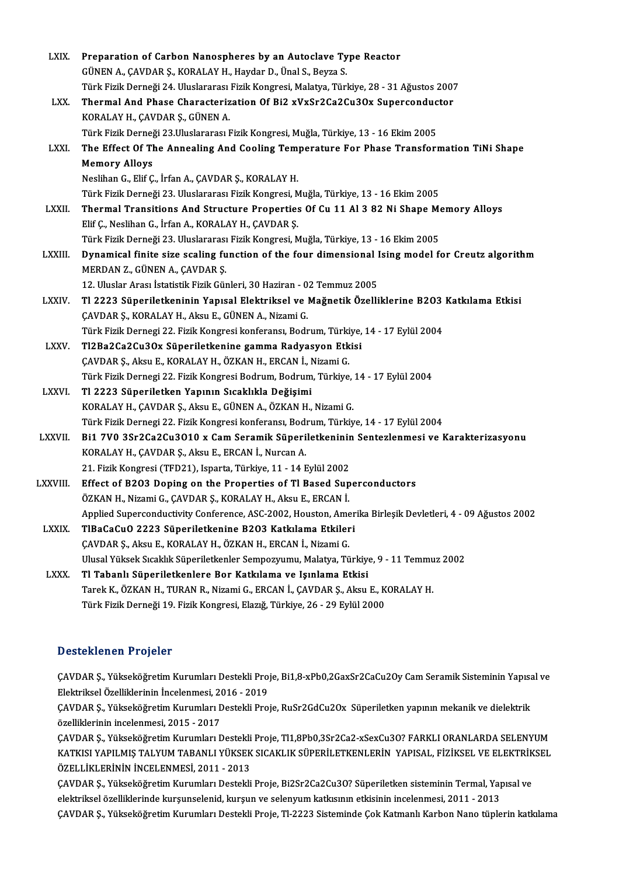| LXIX.         | Preparation of Carbon Nanospheres by an Autoclave Type Reactor                                                                       |
|---------------|--------------------------------------------------------------------------------------------------------------------------------------|
|               | GÜNEN A., ÇAVDAR Ş., KORALAY H., Haydar D., Ünal S., Beyza S.                                                                        |
|               | Türk Fizik Derneği 24. Uluslararası Fizik Kongresi, Malatya, Türkiye, 28 - 31 Ağustos 2007                                           |
| LXX.          | Thermal And Phase Characterization Of Bi2 xVxSr2Ca2Cu3Ox Superconductor                                                              |
|               | KORALAY H., ÇAVDAR Ş., GÜNEN A.                                                                                                      |
|               | Türk Fizik Derneği 23.Uluslararası Fizik Kongresi, Muğla, Türkiye, 13 - 16 Ekim 2005                                                 |
| <b>LXXI</b>   | The Effect Of The Annealing And Cooling Temperature For Phase Transformation TiNi Shape                                              |
|               | <b>Memory Alloys</b>                                                                                                                 |
|               | Neslihan G., Elif Ç., İrfan A., ÇAVDAR Ş., KORALAY H.                                                                                |
|               | Türk Fizik Derneği 23. Uluslararası Fizik Kongresi, Muğla, Türkiye, 13 - 16 Ekim 2005                                                |
| <b>LXXII</b>  | Thermal Transitions And Structure Properties Of Cu 11 Al 3 82 Ni Shape Memory Alloys                                                 |
|               | Elif Ç., Neslihan G., İrfan A., KORALAY H., ÇAVDAR Ş.                                                                                |
|               | Türk Fizik Derneği 23. Uluslararası Fizik Kongresi, Muğla, Türkiye, 13 - 16 Ekim 2005                                                |
| LXXIII.       | Dynamical finite size scaling function of the four dimensional Ising model for Creutz algorithm                                      |
|               | MERDAN Z., GÜNEN A., ÇAVDAR Ş.                                                                                                       |
|               | 12. Uluslar Arası İstatistik Fizik Günleri, 30 Haziran - 02 Temmuz 2005                                                              |
| <b>LXXIV</b>  | Tl 2223 Süperiletkeninin Yapısal Elektriksel ve Mağnetik Özelliklerine B203 Katkılama Etkisi                                         |
|               | ÇAVDAR Ş., KORALAY H., Aksu E., GÜNEN A., Nizami G.                                                                                  |
|               | Türk Fizik Dernegi 22. Fizik Kongresi konferansı, Bodrum, Türkiye, 14 - 17 Eylül 2004                                                |
| LXXV.         | Tl2Ba2Ca2Cu3Ox Süperiletkenine gamma Radyasyon Etkisi                                                                                |
|               | ÇAVDAR Ş., Aksu E., KORALAY H., ÖZKAN H., ERCAN İ., Nizami G.                                                                        |
|               | Türk Fizik Dernegi 22. Fizik Kongresi Bodrum, Bodrum, Türkiye, 14 - 17 Eylül 2004                                                    |
| LXXVI.        | Tl 2223 Süperiletken Yapının Sıcaklıkla Değişimi                                                                                     |
|               | KORALAY H., ÇAVDAR Ş., Aksu E., GÜNEN A., ÖZKAN H., Nizami G.                                                                        |
|               | Türk Fizik Dernegi 22. Fizik Kongresi konferansı, Bodrum, Türkiye, 14 - 17 Eylül 2004                                                |
| <b>LXXVII</b> | Bi1 7V0 3Sr2Ca2Cu3O10 x Cam Seramik Süperiletkeninin Sentezlenmesi ve Karakterizasyonu                                               |
|               | KORALAY H., ÇAVDAR Ş., Aksu E., ERCAN İ., Nurcan A.                                                                                  |
|               | 21. Fizik Kongresi (TFD21), Isparta, Türkiye, 11 - 14 Eylül 2002                                                                     |
| LXXVIII.      | Effect of B203 Doping on the Properties of TI Based Superconductors<br>ÖZKAN H., Nizami G., ÇAVDAR Ş., KORALAY H., Aksu E., ERCAN İ. |
|               | Applied Superconductivity Conference, ASC-2002, Houston, Amerika Birleşik Devletleri, 4 - 09 Ağustos 2002                            |
| LXXIX.        | TIBaCaCuO 2223 Süperiletkenine B203 Katkılama Etkileri                                                                               |
|               | ÇAVDAR Ş., Aksu E., KORALAY H., ÖZKAN H., ERCAN İ., Nizami G.                                                                        |
|               | Ulusal Yüksek Sıcaklık Süperiletkenler Sempozyumu, Malatya, Türkiye, 9 - 11 Temmuz 2002                                              |
| <b>LXXX</b>   | Tl Tabanlı Süperiletkenlere Bor Katkılama ve Işınlama Etkisi                                                                         |
|               | Tarek K., ÖZKAN H., TURAN R., Nizami G., ERCAN İ., ÇAVDAR Ş., Aksu E., KORALAY H.                                                    |
|               | Türk Fizik Derneği 19. Fizik Kongresi, Elazığ, Türkiye, 26 - 29 Eylül 2000                                                           |
|               |                                                                                                                                      |

### Desteklenen Projeler

Desteklenen Projeler<br>ÇAVDAR Ş., Yükseköğretim Kurumları Destekli Proje, Bi1,8-xPb0,2GaxSr2CaCu2Oy Cam Seramik Sisteminin Yapısal ve<br>Flaktriksel Özelliklerinin İnselenmesi, 2016, ...2019 Elektrikselözel i 1993<br>CAVDAR Ş., Yükseköğretim Kurumları Destekli Pro<br>Elektriksel Özelliklerinin İncelenmesi, 2016 - 2019<br>CAVDAR S. Vülreköğretim Kurumları Destekli Pro ÇAVDAR Ş., Yükseköğretim Kurumları Destekli Proje, Bi1,8-xPb0,2GaxSr2CaCu2Oy Cam Seramik Sisteminin Yapısa<br>Elektriksel Özelliklerinin İncelenmesi, 2016 - 2019<br>ÇAVDAR Ş., Yükseköğretim Kurumları Destekli Proje, RuSr2GdCu2Ox

Elektriksel Özelliklerinin İncelenmesi, 2014<br>ÇAVDAR Ş., Yükseköğretim Kurumları I<br>Özelliklerinin incelenmesi, 2015 - 2017<br>CAVDAR S. Yükseköğretim Kurumları E ÇAVDAR Ş., Yükseköğretim Kurumları Destekli Proje, RuSr2GdCu2Ox Süperiletken yapının mekanik ve dielektrik<br>özelliklerinin incelenmesi, 2015 - 2017<br>ÇAVDAR Ş., Yükseköğretim Kurumları Destekli Proje, Tl1,8Pb0,3Sr2Ca2-xSexCu

özelliklerinin incelenmesi, 2015 - 2017<br>ÇAVDAR Ş., Yükseköğretim Kurumları Destekli Proje, Tl1,8Pb0,3Sr2Ca2-xSexCu3O? FARKLI ORANLARDA SELENYUM<br>KATKISI YAPILMIŞ TALYUM TABANLI YÜKSEK SICAKLIK SÜPERİLETKENLERİN YAPISAL, Fİ ÇAVDAR Ş., Yükseköğretim Kurumları Destekli Proje, Tl1,8Pb0,3Sr2Ca2-xSexCu3O? FARKLI ORANLARDA SELENYUM KATKISI YAPILMIŞ TALYUM TABANLI YÜKSEK SICAKLIK SÜPERİLETKENLERİN YAPISAL, FİZİKSEL VE ELEKTRİK<br>ÖZELLİKLERİNİN İNCELENMESİ, 2011 - 2013<br>ÇAVDAR Ş., Yükseköğretim Kurumları Destekli Proje, Bi2Sr2Ca2Cu3O? Süperiletken sistem

ÖZELLİKLERİNİN İNCELENMESİ, 2011 - 2013<br>ÇAVDAR Ş., Yükseköğretim Kurumları Destekli Proje, Bi2Sr2Ca2Cu3O? Süperiletken sisteminin Termal, Yap<br>elektriksel özelliklerinde kurşunselenid, kurşun ve selenyum katkısının etkisini ÇAVDAR Ş., Yükseköğretim Kurumları Destekli Proje, Bi2Sr2Ca2Cu3O? Süperiletken sisteminin Termal, Yapısal ve<br>elektriksel özelliklerinde kurşunselenid, kurşun ve selenyum katkısının etkisinin incelenmesi, 2011 - 2013<br>ÇAVDAR